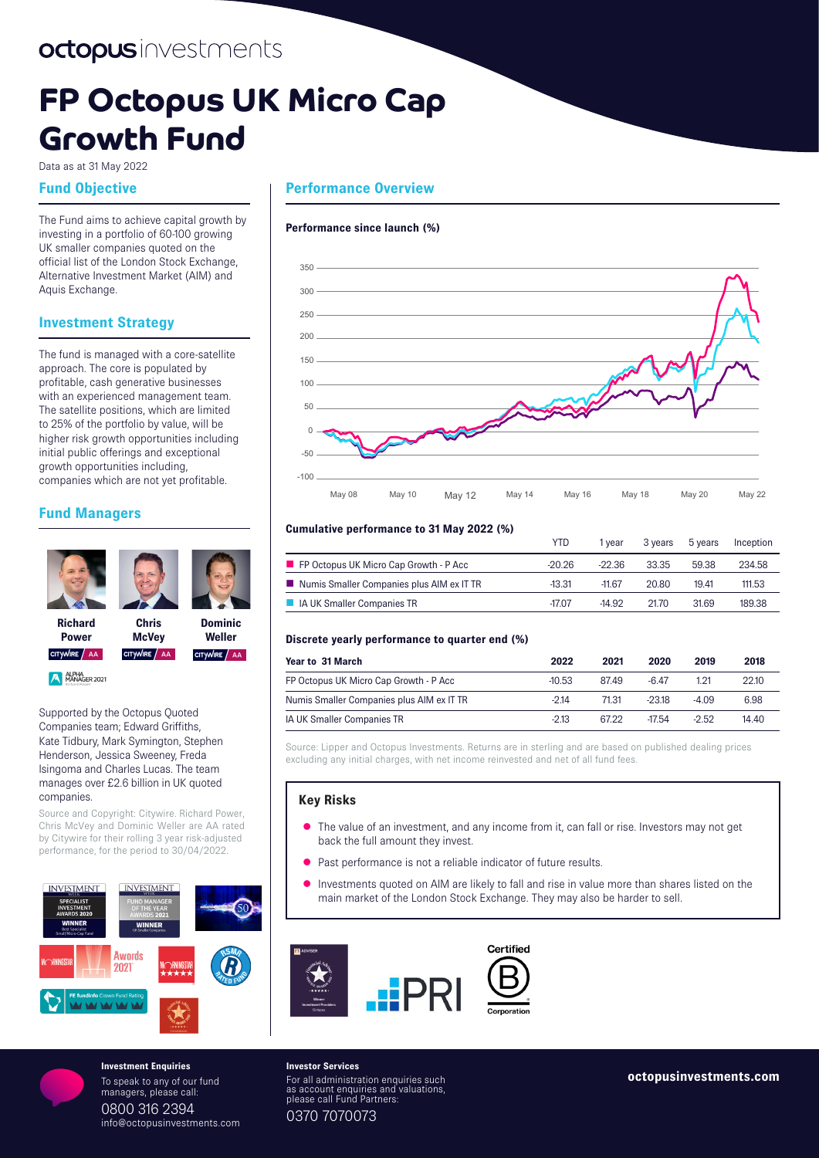# **FP Octopus UK Micro Cap Growth Fund**

Data as at 31 May 2022

## **Fund Objective**

The Fund aims to achieve capital growth by investing in a portfolio of 60-100 growing UK smaller companies quoted on the official list of the London Stock Exchange, Alternative Investment Market (AIM) and Aquis Exchange.

# **Investment Strategy**

The fund is managed with a core-satellite approach. The core is populated by profitable, cash generative businesses with an experienced management team. The satellite positions, which are limited to 25% of the portfolio by value, will be higher risk growth opportunities including initial public offerings and exceptional growth opportunities including, companies which are not yet profitable.

# **Fund Managers**



Supported by the Octopus Quoted Companies team; Edward Griffiths, Kate Tidbury, Mark Symington, Stephen Henderson, Jessica Sweeney, Freda Isingoma and Charles Lucas. The team manages over £2.6 billion in UK quoted companies.

Source and Copyright: Citywire. Richard Power, Chris McVey and Dominic Weller are AA rated by Citywire for their rolling 3 year risk-adjusted performance, for the period to 30/04/2022.



To speak to any of our fund managers, please call: 0800 316 2394 info@octopusinvestments.com

# **Performance Overview**

#### **Performance since launch (%)**



#### **Cumulative performance to 31 May 2022 (%)**

|                                                          | YTD      | l vear   | 3 vears | 5 years | Inception |
|----------------------------------------------------------|----------|----------|---------|---------|-----------|
| $\blacksquare$ FP Octopus UK Micro Cap Growth - P Acc    | -20.26   | $-22.36$ | 33.35   | 59.38   | 234.58    |
| $\blacksquare$ Numis Smaller Companies plus AIM ex IT TR | $-13.31$ | $-1167$  | 20.80   | 19.41   | 111.53    |
| <b>A</b> IA UK Smaller Companies TR                      | $-17.07$ | $-14.92$ | 2170    | 31.69   | 189.38    |

#### **Discrete yearly performance to quarter end (%)**

| Year to 31 March                          | 2022     | 2021  | 2020     | 2019  | 2018  |
|-------------------------------------------|----------|-------|----------|-------|-------|
| FP Octopus UK Micro Cap Growth - P Acc    | $-10.53$ | 8749  | -6447    | 1 21  | 22.10 |
| Numis Smaller Companies plus AIM ex IT TR | $-214$   | 71.31 | $-2318$  | -4.09 | 6.98  |
| IA UK Smaller Companies TR                | $-2.13$  | 6722  | $-17.54$ | -2.52 | 14.40 |

Source: Lipper and Octopus Investments. Returns are in sterling and are based on published dealing prices excluding any initial charges, with net income reinvested and net of all fund fees.

#### **Key Risks**

- The value of an investment, and any income from it, can fall or rise. Investors may not get back the full amount they invest.
- Past performance is not a reliable indicator of future results.
- Investments quoted on AIM are likely to fall and rise in value more than shares listed on the main market of the London Stock Exchange. They may also be harder to sell.



**Investor Services** For all administration enquiries such as account enquiries and valuations, please call Fund Partners: 0370 7070073 **Investment Enquiries**<br>To speak to any of our fund **investment Control and Individual Archives** such **Investment Control Control Control Control Control Control Control Control Control Control Control Control Control Contr**